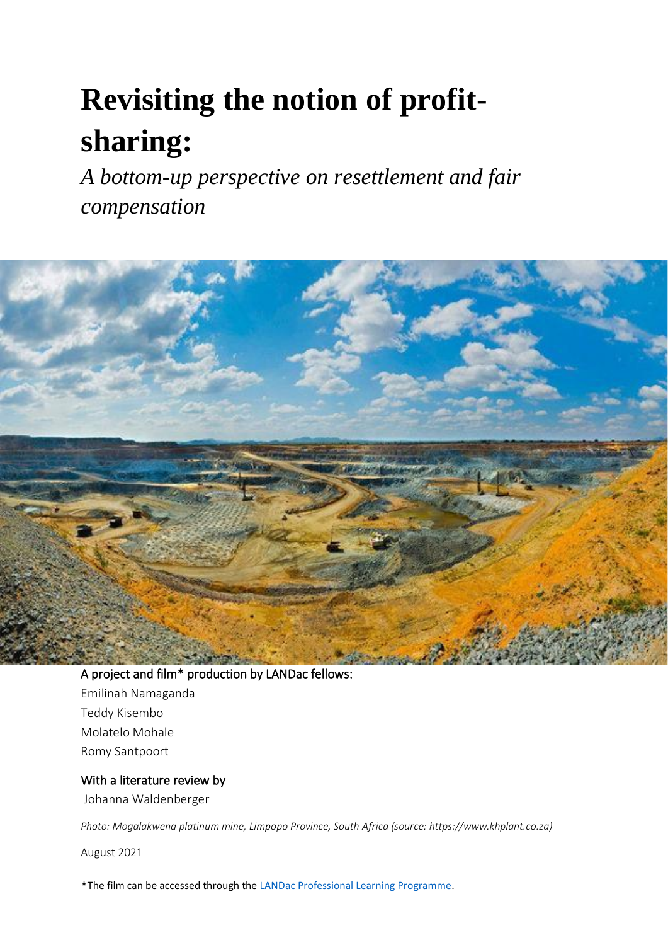# **Revisiting the notion of profitsharing:**

*A bottom-up perspective on resettlement and fair compensation*



A project and film\* production by LANDac fellows: Emilinah Namaganda Teddy Kisembo Molatelo Mohale Romy Santpoort

## With a literature review by

Johanna Waldenberger

*Photo: Mogalakwena platinum mine, Limpopo Province, South Africa (source: https://www.khplant.co.za)*

August 2021

\*The film can be accessed through th[e LANDac Professional Learning Programme.](https://www.landgovernance.org/landac-activities/professional-learning-programme/)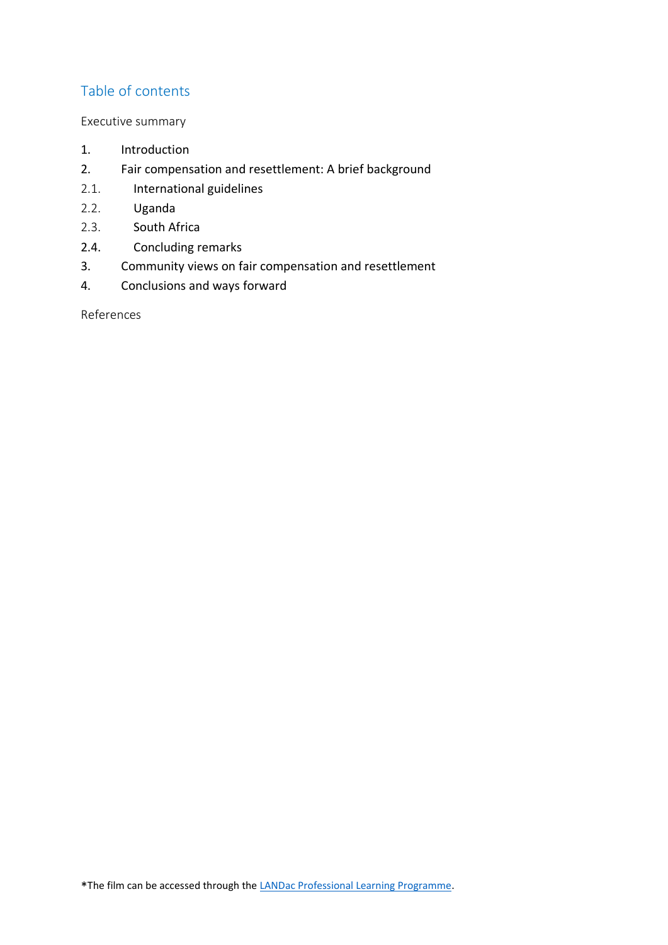# Table of contents

#### Executive summary

- 1. Introduction
- 2. Fair compensation and resettlement: A brief background
- 2.1. International guidelines
- 2.2. Uganda
- 2.3. South Africa
- 2.4. Concluding remarks
- 3. Community views on fair compensation and resettlement
- 4. Conclusions and ways forward

References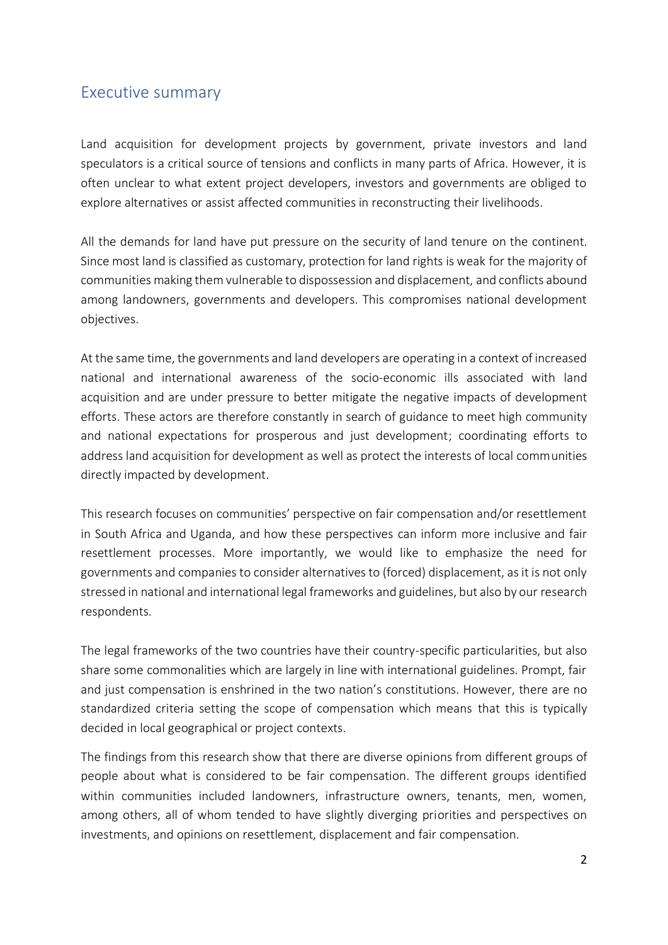# Executive summary

Land acquisition for development projects by government, private investors and land speculators is a critical source of tensions and conflicts in many parts of Africa. However, it is often unclear to what extent project developers, investors and governments are obliged to explore alternatives or assist affected communities in reconstructing their livelihoods.

All the demands for land have put pressure on the security of land tenure on the continent. Since most land is classified as customary, protection for land rights is weak for the majority of communities making them vulnerable to dispossession and displacement, and conflicts abound among landowners, governments and developers. This compromises national development objectives.

At the same time, the governments and land developers are operating in a context of increased national and international awareness of the socio-economic ills associated with land acquisition and are under pressure to better mitigate the negative impacts of development efforts. These actors are therefore constantly in search of guidance to meet high community and national expectations for prosperous and just development; coordinating efforts to address land acquisition for development as well as protect the interests of local communities directly impacted by development.

This research focuses on communities' perspective on fair compensation and/or resettlement in South Africa and Uganda, and how these perspectives can inform more inclusive and fair resettlement processes. More importantly, we would like to emphasize the need for governments and companies to consider alternatives to (forced) displacement, as it is not only stressed in national and international legal frameworks and guidelines, but also by our research respondents.

The legal frameworks of the two countries have their country-specific particularities, but also share some commonalities which are largely in line with international guidelines. Prompt, fair and just compensation is enshrined in the two nation's constitutions. However, there are no standardized criteria setting the scope of compensation which means that this is typically decided in local geographical or project contexts.

The findings from this research show that there are diverse opinions from different groups of people about what is considered to be fair compensation. The different groups identified within communities included landowners, infrastructure owners, tenants, men, women, among others, all of whom tended to have slightly diverging priorities and perspectives on investments, and opinions on resettlement, displacement and fair compensation.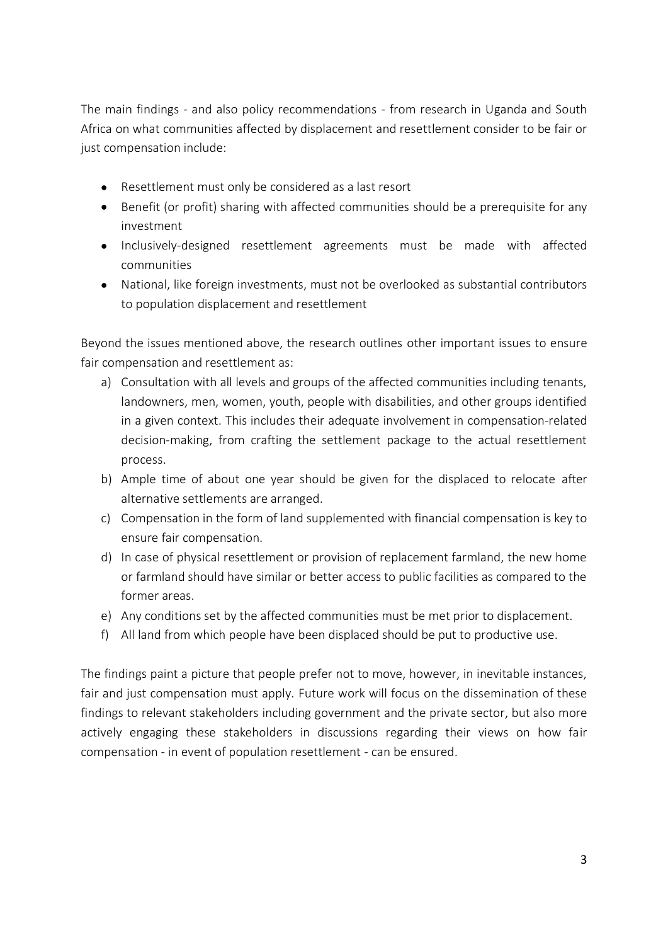The main findings - and also policy recommendations - from research in Uganda and South Africa on what communities affected by displacement and resettlement consider to be fair or just compensation include:

- Resettlement must only be considered as a last resort
- Benefit (or profit) sharing with affected communities should be a prerequisite for any investment
- Inclusively-designed resettlement agreements must be made with affected communities
- National, like foreign investments, must not be overlooked as substantial contributors to population displacement and resettlement

Beyond the issues mentioned above, the research outlines other important issues to ensure fair compensation and resettlement as:

- a) Consultation with all levels and groups of the affected communities including tenants, landowners, men, women, youth, people with disabilities, and other groups identified in a given context. This includes their adequate involvement in compensation-related decision-making, from crafting the settlement package to the actual resettlement process.
- b) Ample time of about one year should be given for the displaced to relocate after alternative settlements are arranged.
- c) Compensation in the form of land supplemented with financial compensation is key to ensure fair compensation.
- d) In case of physical resettlement or provision of replacement farmland, the new home or farmland should have similar or better access to public facilities as compared to the former areas.
- e) Any conditions set by the affected communities must be met prior to displacement.
- f) All land from which people have been displaced should be put to productive use.

The findings paint a picture that people prefer not to move, however, in inevitable instances, fair and just compensation must apply. Future work will focus on the dissemination of these findings to relevant stakeholders including government and the private sector, but also more actively engaging these stakeholders in discussions regarding their views on how fair compensation - in event of population resettlement - can be ensured.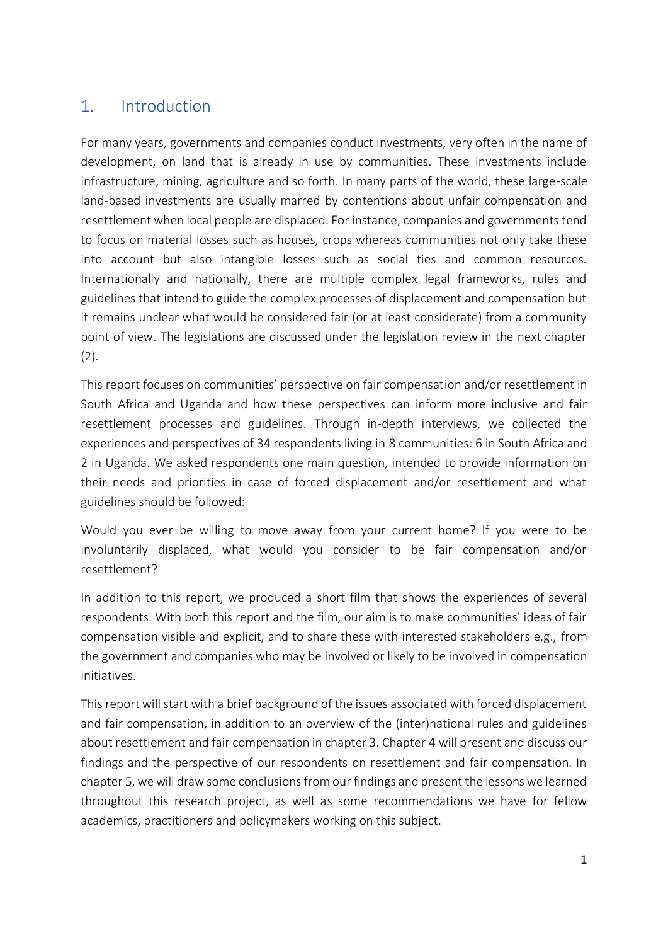# 1. Introduction

For many years, governments and companies conduct investments, very often in the name of development, on land that is already in use by communities. These investments include infrastructure, mining, agriculture and so forth. In many parts of the world, these large-scale land-based investments are usually marred by contentions about unfair compensation and resettlement when local people are displaced. For instance, companies and governments tend to focus on material losses such as houses, crops whereas communities not only take these into account but also intangible losses such as social ties and common resources. Internationally and nationally, there are multiple complex legal frameworks, rules and guidelines that intend to guide the complex processes of displacement and compensation but it remains unclear what would be considered fair (or at least considerate) from a community point of view. The legislations are discussed under the legislation review in the next chapter  $(2).$ 

This report focuses on communities' perspective on fair compensation and/or resettlement in South Africa and Uganda and how these perspectives can inform more inclusive and fair resettlement processes and guidelines. Through in-depth interviews, we collected the experiences and perspectives of 34 respondents living in 8 communities: 6 in South Africa and 2 in Uganda. We asked respondents one main question, intended to provide information on their needs and priorities in case of forced displacement and/or resettlement and what guidelines should be followed:

Would you ever be willing to move away from your current home? If you were to be involuntarily displaced, what would you consider to be fair compensation and/or resettlement?

In addition to this report, we produced a short film that shows the experiences of several respondents. With both this report and the film, our aim is to make communities' ideas of fair compensation visible and explicit, and to share these with interested stakeholders e.g., from the government and companies who may be involved or likely to be involved in compensation initiatives.

This report will start with a brief background of the issues associated with forced displacement and fair compensation, in addition to an overview of the (inter)national rules and guidelines about resettlement and fair compensation in chapter 3. Chapter 4 will present and discuss our findings and the perspective of our respondents on resettlement and fair compensation. In chapter 5, we will draw some conclusions from our findings and present the lessons we learned throughout this research project, as well as some recommendations we have for fellow academics, practitioners and policymakers working on this subject.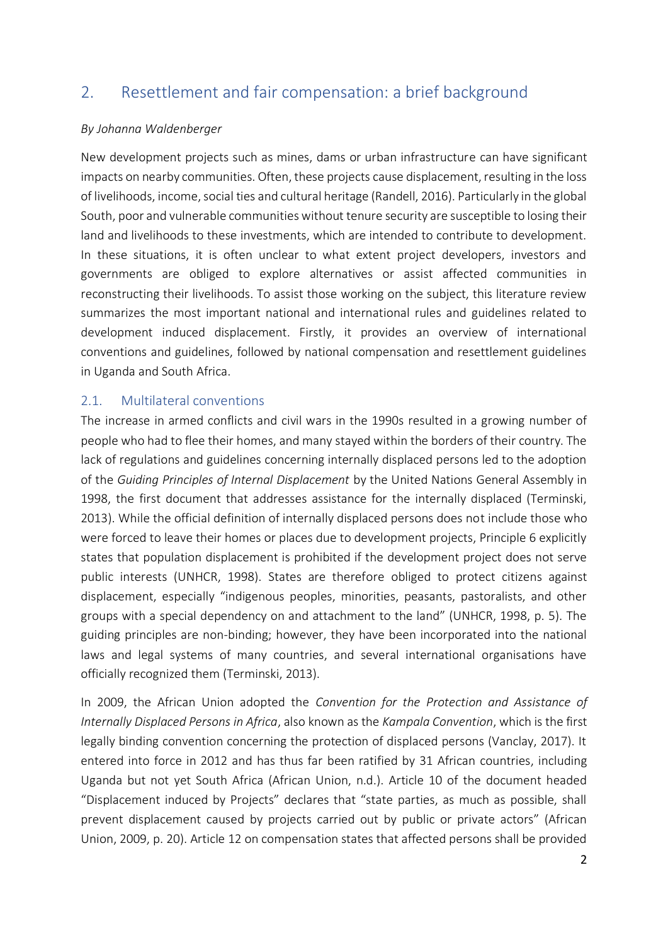# 2. Resettlement and fair compensation: a brief background

#### *By Johanna Waldenberger*

New development projects such as mines, dams or urban infrastructure can have significant impacts on nearby communities. Often, these projects cause displacement, resulting in the loss of livelihoods, income, social ties and cultural heritage (Randell, 2016). Particularly in the global South, poor and vulnerable communities without tenure security are susceptible to losing their land and livelihoods to these investments, which are intended to contribute to development. In these situations, it is often unclear to what extent project developers, investors and governments are obliged to explore alternatives or assist affected communities in reconstructing their livelihoods. To assist those working on the subject, this literature review summarizes the most important national and international rules and guidelines related to development induced displacement. Firstly, it provides an overview of international conventions and guidelines, followed by national compensation and resettlement guidelines in Uganda and South Africa.

## 2.1. Multilateral conventions

The increase in armed conflicts and civil wars in the 1990s resulted in a growing number of people who had to flee their homes, and many stayed within the borders of their country. The lack of regulations and guidelines concerning internally displaced persons led to the adoption of the *Guiding Principles of Internal Displacement* by the United Nations General Assembly in 1998, the first document that addresses assistance for the internally displaced (Terminski, 2013). While the official definition of internally displaced persons does not include those who were forced to leave their homes or places due to development projects, Principle 6 explicitly states that population displacement is prohibited if the development project does not serve public interests (UNHCR, 1998). States are therefore obliged to protect citizens against displacement, especially "indigenous peoples, minorities, peasants, pastoralists, and other groups with a special dependency on and attachment to the land" (UNHCR, 1998, p. 5). The guiding principles are non-binding; however, they have been incorporated into the national laws and legal systems of many countries, and several international organisations have officially recognized them (Terminski, 2013).

In 2009, the African Union adopted the *Convention for the Protection and Assistance of Internally Displaced Persons in Africa*, also known as the *Kampala Convention*, which is the first legally binding convention concerning the protection of displaced persons (Vanclay, 2017). It entered into force in 2012 and has thus far been ratified by 31 African countries, including Uganda but not yet South Africa (African Union, n.d.). Article 10 of the document headed "Displacement induced by Projects" declares that "state parties, as much as possible, shall prevent displacement caused by projects carried out by public or private actors" (African Union, 2009, p. 20). Article 12 on compensation states that affected persons shall be provided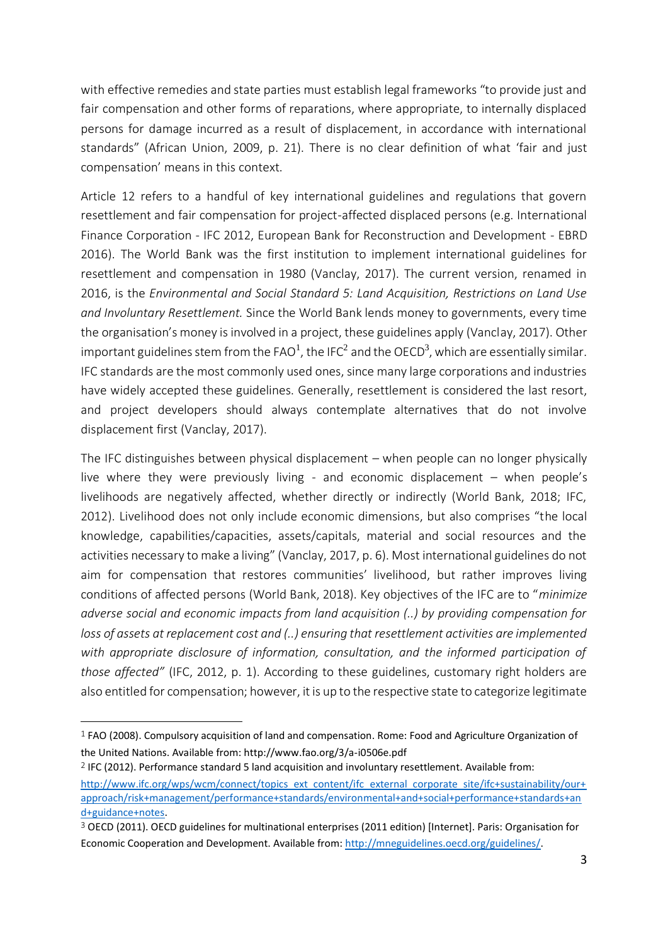with effective remedies and state parties must establish legal frameworks "to provide just and fair compensation and other forms of reparations, where appropriate, to internally displaced persons for damage incurred as a result of displacement, in accordance with international standards" (African Union, 2009, p. 21). There is no clear definition of what 'fair and just compensation' means in this context.

Article 12 refers to a handful of key international guidelines and regulations that govern resettlement and fair compensation for project-affected displaced persons (e.g. International Finance Corporation - IFC 2012, European Bank for Reconstruction and Development - EBRD 2016). The World Bank was the first institution to implement international guidelines for resettlement and compensation in 1980 (Vanclay, 2017). The current version, renamed in 2016, is the *Environmental and Social Standard 5: Land Acquisition, Restrictions on Land Use and Involuntary Resettlement.* Since the World Bank lends money to governments, every time the organisation's money is involved in a project, these guidelines apply (Vanclay, 2017). Other important guidelines stem from the FAO<sup>1</sup>, the IFC<sup>2</sup> and the OECD<sup>3</sup>, which are essentially similar. IFC standards are the most commonly used ones, since many large corporations and industries have widely accepted these guidelines. Generally, resettlement is considered the last resort, and project developers should always contemplate alternatives that do not involve displacement first (Vanclay, 2017).

The IFC distinguishes between physical displacement – when people can no longer physically live where they were previously living - and economic displacement – when people's livelihoods are negatively affected, whether directly or indirectly (World Bank, 2018; IFC, 2012). Livelihood does not only include economic dimensions, but also comprises "the local knowledge, capabilities/capacities, assets/capitals, material and social resources and the activities necessary to make a living" (Vanclay, 2017, p. 6). Most international guidelines do not aim for compensation that restores communities' livelihood, but rather improves living conditions of affected persons (World Bank, 2018). Key objectives of the IFC are to "*minimize adverse social and economic impacts from land acquisition (..) by providing compensation for loss of assets at replacement cost and (..) ensuring that resettlement activities are implemented with appropriate disclosure of information, consultation, and the informed participation of those affected"* (IFC, 2012, p. 1). According to these guidelines, customary right holders are also entitled for compensation; however, it is up to the respective state to categorize legitimate

<sup>1</sup> FAO (2008). Compulsory acquisition of land and compensation. Rome: Food and Agriculture Organization of the United Nations. Available from: http://www.fao.org/3/a-i0506e.pdf

<sup>2</sup> IFC (2012). Performance standard 5 land acquisition and involuntary resettlement. Available from: [http://www.ifc.org/wps/wcm/connect/topics\\_ext\\_content/ifc\\_external\\_corporate\\_site/ifc+sustainability/our+](about:blank) [approach/risk+management/performance+standards/environmental+and+social+performance+standards+an](about:blank) [d+guidance+notes.](about:blank)

<sup>3</sup> OECD (2011). OECD guidelines for multinational enterprises (2011 edition) [Internet]. Paris: Organisation for Economic Cooperation and Development. Available from: [http://mneguidelines.oecd.org/guidelines/.](about:blank)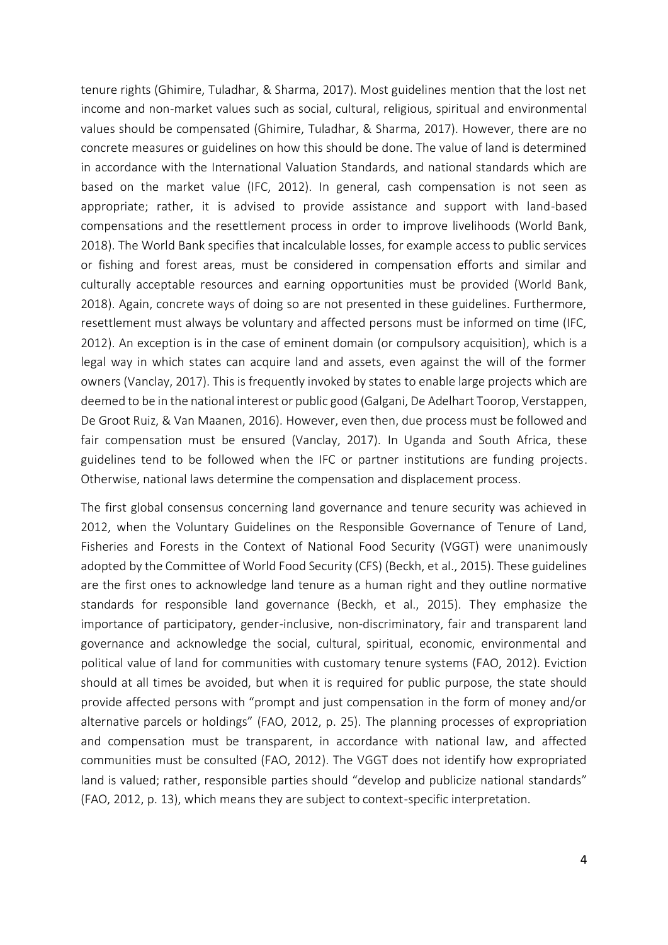tenure rights (Ghimire, Tuladhar, & Sharma, 2017). Most guidelines mention that the lost net income and non-market values such as social, cultural, religious, spiritual and environmental values should be compensated (Ghimire, Tuladhar, & Sharma, 2017). However, there are no concrete measures or guidelines on how this should be done. The value of land is determined in accordance with the International Valuation Standards, and national standards which are based on the market value (IFC, 2012). In general, cash compensation is not seen as appropriate; rather, it is advised to provide assistance and support with land-based compensations and the resettlement process in order to improve livelihoods (World Bank, 2018). The World Bank specifies that incalculable losses, for example access to public services or fishing and forest areas, must be considered in compensation efforts and similar and culturally acceptable resources and earning opportunities must be provided (World Bank, 2018). Again, concrete ways of doing so are not presented in these guidelines. Furthermore, resettlement must always be voluntary and affected persons must be informed on time (IFC, 2012). An exception is in the case of eminent domain (or compulsory acquisition), which is a legal way in which states can acquire land and assets, even against the will of the former owners (Vanclay, 2017). This is frequently invoked by states to enable large projects which are deemed to be in the national interest or public good (Galgani, De Adelhart Toorop, Verstappen, De Groot Ruiz, & Van Maanen, 2016). However, even then, due process must be followed and fair compensation must be ensured (Vanclay, 2017). In Uganda and South Africa, these guidelines tend to be followed when the IFC or partner institutions are funding projects. Otherwise, national laws determine the compensation and displacement process.

The first global consensus concerning land governance and tenure security was achieved in 2012, when the Voluntary Guidelines on the Responsible Governance of Tenure of Land, Fisheries and Forests in the Context of National Food Security (VGGT) were unanimously adopted by the Committee of World Food Security (CFS) (Beckh, et al., 2015). These guidelines are the first ones to acknowledge land tenure as a human right and they outline normative standards for responsible land governance (Beckh, et al., 2015). They emphasize the importance of participatory, gender-inclusive, non-discriminatory, fair and transparent land governance and acknowledge the social, cultural, spiritual, economic, environmental and political value of land for communities with customary tenure systems (FAO, 2012). Eviction should at all times be avoided, but when it is required for public purpose, the state should provide affected persons with "prompt and just compensation in the form of money and/or alternative parcels or holdings" (FAO, 2012, p. 25). The planning processes of expropriation and compensation must be transparent, in accordance with national law, and affected communities must be consulted (FAO, 2012). The VGGT does not identify how expropriated land is valued; rather, responsible parties should "develop and publicize national standards" (FAO, 2012, p. 13), which means they are subject to context-specific interpretation.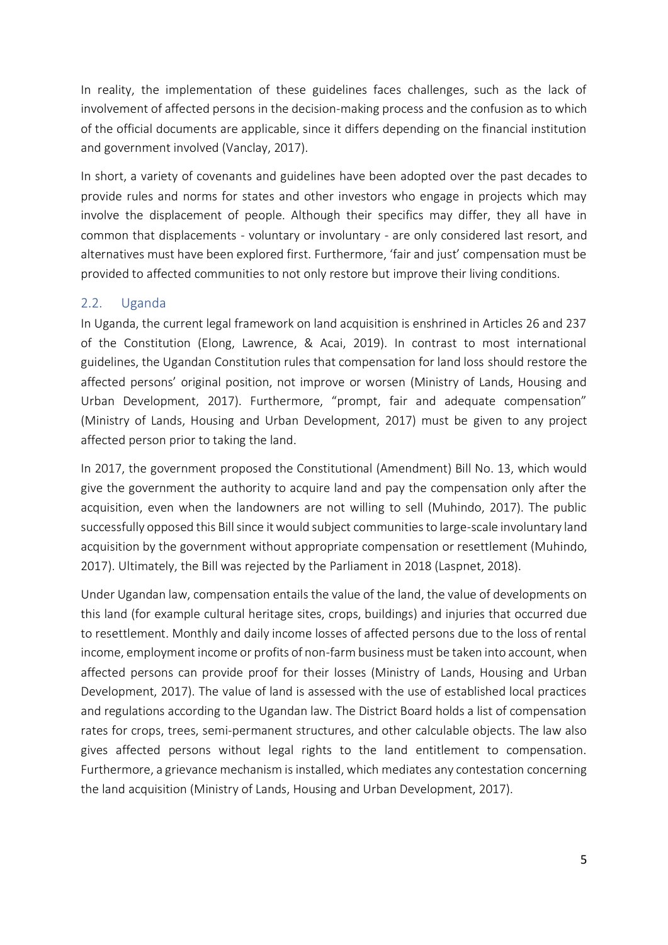In reality, the implementation of these guidelines faces challenges, such as the lack of involvement of affected persons in the decision-making process and the confusion as to which of the official documents are applicable, since it differs depending on the financial institution and government involved (Vanclay, 2017).

In short, a variety of covenants and guidelines have been adopted over the past decades to provide rules and norms for states and other investors who engage in projects which may involve the displacement of people. Although their specifics may differ, they all have in common that displacements - voluntary or involuntary - are only considered last resort, and alternatives must have been explored first. Furthermore, 'fair and just' compensation must be provided to affected communities to not only restore but improve their living conditions.

## 2.2. Uganda

In Uganda, the current legal framework on land acquisition is enshrined in Articles 26 and 237 of the Constitution (Elong, Lawrence, & Acai, 2019). In contrast to most international guidelines, the Ugandan Constitution rules that compensation for land loss should restore the affected persons' original position, not improve or worsen (Ministry of Lands, Housing and Urban Development, 2017). Furthermore, "prompt, fair and adequate compensation" (Ministry of Lands, Housing and Urban Development, 2017) must be given to any project affected person prior to taking the land.

In 2017, the government proposed the Constitutional (Amendment) Bill No. 13, which would give the government the authority to acquire land and pay the compensation only after the acquisition, even when the landowners are not willing to sell (Muhindo, 2017). The public successfully opposed this Bill since it would subject communities to large-scale involuntary land acquisition by the government without appropriate compensation or resettlement (Muhindo, 2017). Ultimately, the Bill was rejected by the Parliament in 2018 (Laspnet, 2018).

Under Ugandan law, compensation entails the value of the land, the value of developments on this land (for example cultural heritage sites, crops, buildings) and injuries that occurred due to resettlement. Monthly and daily income losses of affected persons due to the loss of rental income, employment income or profits of non-farm business must be taken into account, when affected persons can provide proof for their losses (Ministry of Lands, Housing and Urban Development, 2017). The value of land is assessed with the use of established local practices and regulations according to the Ugandan law. The District Board holds a list of compensation rates for crops, trees, semi-permanent structures, and other calculable objects. The law also gives affected persons without legal rights to the land entitlement to compensation. Furthermore, a grievance mechanism is installed, which mediates any contestation concerning the land acquisition (Ministry of Lands, Housing and Urban Development, 2017).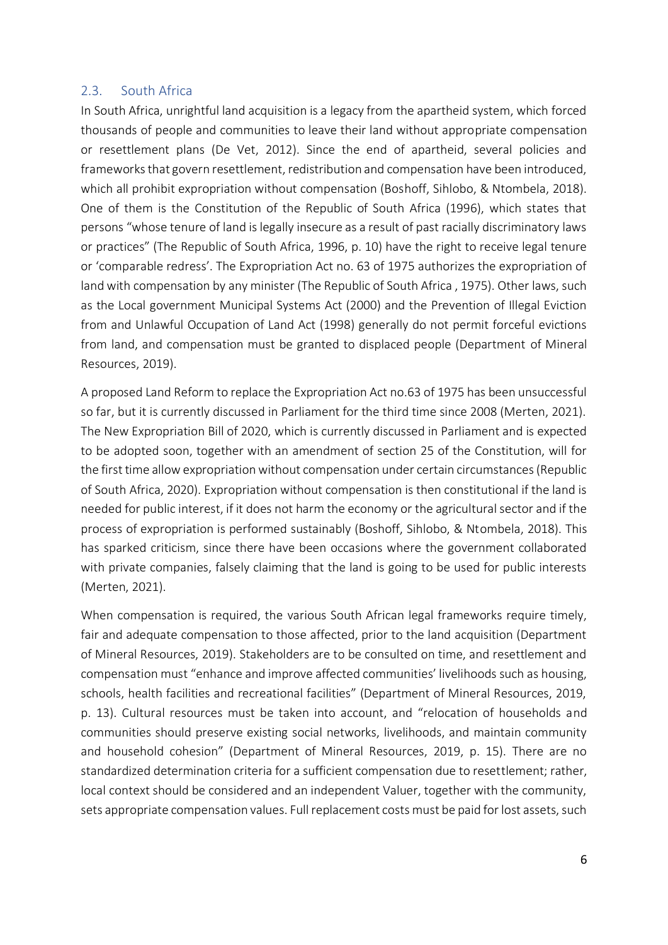#### 2.3. South Africa

In South Africa, unrightful land acquisition is a legacy from the apartheid system, which forced thousands of people and communities to leave their land without appropriate compensation or resettlement plans (De Vet, 2012). Since the end of apartheid, several policies and frameworks that govern resettlement, redistribution and compensation have been introduced, which all prohibit expropriation without compensation (Boshoff, Sihlobo, & Ntombela, 2018). One of them is the Constitution of the Republic of South Africa (1996), which states that persons "whose tenure of land is legally insecure as a result of past racially discriminatory laws or practices" (The Republic of South Africa, 1996, p. 10) have the right to receive legal tenure or 'comparable redress'. The Expropriation Act no. 63 of 1975 authorizes the expropriation of land with compensation by any minister (The Republic of South Africa , 1975). Other laws, such as the Local government Municipal Systems Act (2000) and the Prevention of Illegal Eviction from and Unlawful Occupation of Land Act (1998) generally do not permit forceful evictions from land, and compensation must be granted to displaced people (Department of Mineral Resources, 2019).

A proposed Land Reform to replace the Expropriation Act no.63 of 1975 has been unsuccessful so far, but it is currently discussed in Parliament for the third time since 2008 (Merten, 2021). The New Expropriation Bill of 2020, which is currently discussed in Parliament and is expected to be adopted soon, together with an amendment of section 25 of the Constitution, will for the first time allow expropriation without compensation under certain circumstances (Republic of South Africa, 2020). Expropriation without compensation is then constitutional if the land is needed for public interest, if it does not harm the economy or the agricultural sector and if the process of expropriation is performed sustainably (Boshoff, Sihlobo, & Ntombela, 2018). This has sparked criticism, since there have been occasions where the government collaborated with private companies, falsely claiming that the land is going to be used for public interests (Merten, 2021).

When compensation is required, the various South African legal frameworks require timely, fair and adequate compensation to those affected, prior to the land acquisition (Department of Mineral Resources, 2019). Stakeholders are to be consulted on time, and resettlement and compensation must "enhance and improve affected communities' livelihoods such as housing, schools, health facilities and recreational facilities" (Department of Mineral Resources, 2019, p. 13). Cultural resources must be taken into account, and "relocation of households and communities should preserve existing social networks, livelihoods, and maintain community and household cohesion" (Department of Mineral Resources, 2019, p. 15). There are no standardized determination criteria for a sufficient compensation due to resettlement; rather, local context should be considered and an independent Valuer, together with the community, sets appropriate compensation values. Full replacement costs must be paid for lost assets, such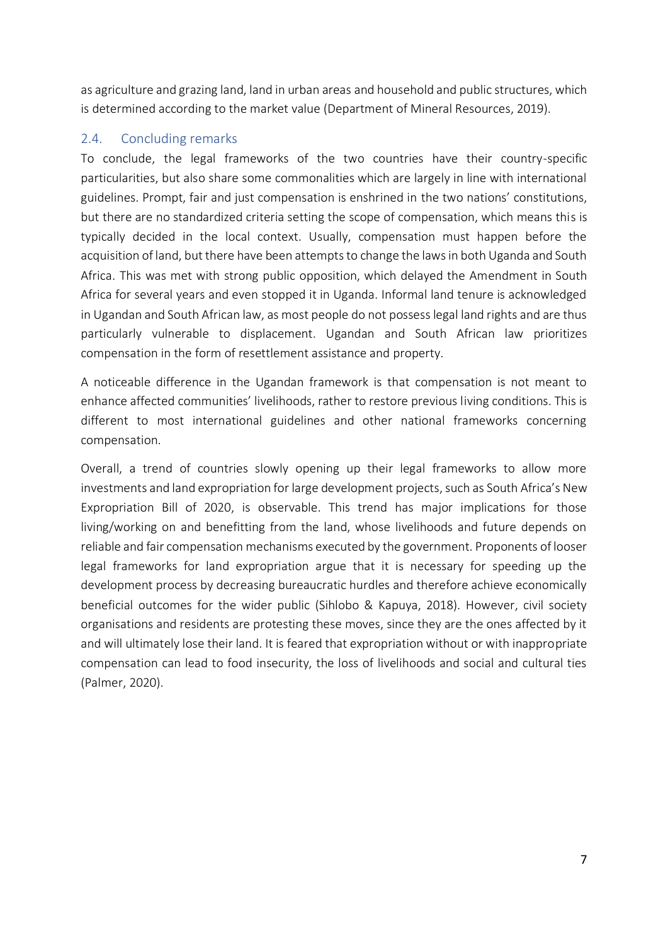as agriculture and grazing land, land in urban areas and household and public structures, which is determined according to the market value (Department of Mineral Resources, 2019).

## 2.4. Concluding remarks

To conclude, the legal frameworks of the two countries have their country-specific particularities, but also share some commonalities which are largely in line with international guidelines. Prompt, fair and just compensation is enshrined in the two nations' constitutions, but there are no standardized criteria setting the scope of compensation, which means this is typically decided in the local context. Usually, compensation must happen before the acquisition of land, but there have been attempts to change the laws in both Uganda and South Africa. This was met with strong public opposition, which delayed the Amendment in South Africa for several years and even stopped it in Uganda. Informal land tenure is acknowledged in Ugandan and South African law, as most people do not possess legal land rights and are thus particularly vulnerable to displacement. Ugandan and South African law prioritizes compensation in the form of resettlement assistance and property.

A noticeable difference in the Ugandan framework is that compensation is not meant to enhance affected communities' livelihoods, rather to restore previous living conditions. This is different to most international guidelines and other national frameworks concerning compensation.

Overall, a trend of countries slowly opening up their legal frameworks to allow more investments and land expropriation for large development projects, such as South Africa's New Expropriation Bill of 2020, is observable. This trend has major implications for those living/working on and benefitting from the land, whose livelihoods and future depends on reliable and fair compensation mechanisms executed by the government. Proponents of looser legal frameworks for land expropriation argue that it is necessary for speeding up the development process by decreasing bureaucratic hurdles and therefore achieve economically beneficial outcomes for the wider public (Sihlobo & Kapuya, 2018). However, civil society organisations and residents are protesting these moves, since they are the ones affected by it and will ultimately lose their land. It is feared that expropriation without or with inappropriate compensation can lead to food insecurity, the loss of livelihoods and social and cultural ties (Palmer, 2020).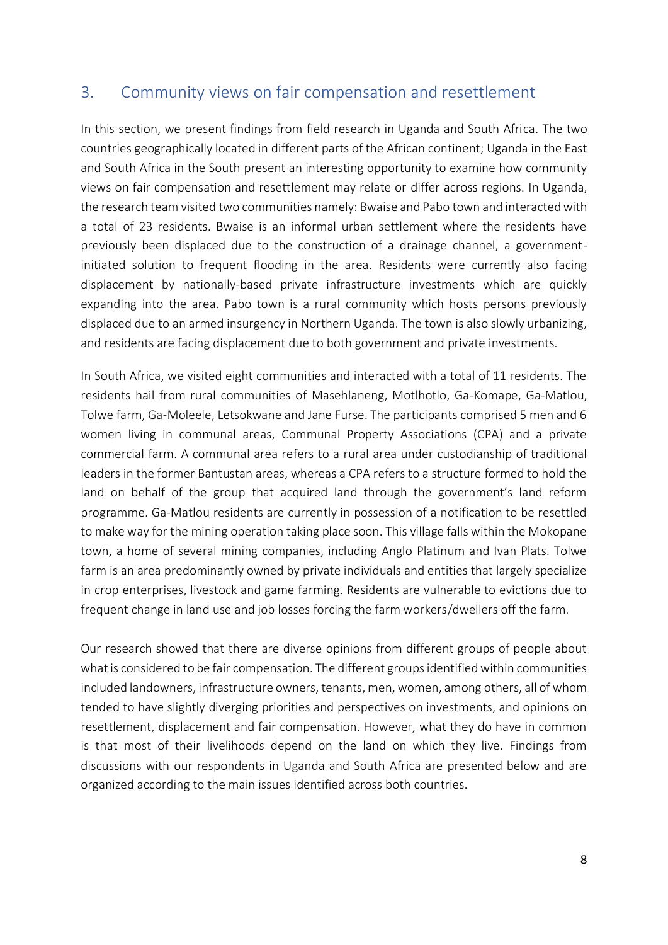# 3. Community views on fair compensation and resettlement

In this section, we present findings from field research in Uganda and South Africa. The two countries geographically located in different parts of the African continent; Uganda in the East and South Africa in the South present an interesting opportunity to examine how community views on fair compensation and resettlement may relate or differ across regions. In Uganda, the research team visited two communities namely: Bwaise and Pabo town and interacted with a total of 23 residents. Bwaise is an informal urban settlement where the residents have previously been displaced due to the construction of a drainage channel, a governmentinitiated solution to frequent flooding in the area. Residents were currently also facing displacement by nationally-based private infrastructure investments which are quickly expanding into the area. Pabo town is a rural community which hosts persons previously displaced due to an armed insurgency in Northern Uganda. The town is also slowly urbanizing, and residents are facing displacement due to both government and private investments.

In South Africa, we visited eight communities and interacted with a total of 11 residents. The residents hail from rural communities of Masehlaneng, Motlhotlo, Ga-Komape, Ga-Matlou, Tolwe farm, Ga-Moleele, Letsokwane and Jane Furse. The participants comprised 5 men and 6 women living in communal areas, Communal Property Associations (CPA) and a private commercial farm. A communal area refers to a rural area under custodianship of traditional leaders in the former Bantustan areas, whereas a CPA refers to a structure formed to hold the land on behalf of the group that acquired land through the government's land reform programme. Ga-Matlou residents are currently in possession of a notification to be resettled to make way for the mining operation taking place soon. This village falls within the Mokopane town, a home of several mining companies, including Anglo Platinum and Ivan Plats. Tolwe farm is an area predominantly owned by private individuals and entities that largely specialize in crop enterprises, livestock and game farming. Residents are vulnerable to evictions due to frequent change in land use and job losses forcing the farm workers/dwellers off the farm.

Our research showed that there are diverse opinions from different groups of people about what is considered to be fair compensation. The different groups identified within communities included landowners, infrastructure owners, tenants, men, women, among others, all of whom tended to have slightly diverging priorities and perspectives on investments, and opinions on resettlement, displacement and fair compensation. However, what they do have in common is that most of their livelihoods depend on the land on which they live. Findings from discussions with our respondents in Uganda and South Africa are presented below and are organized according to the main issues identified across both countries.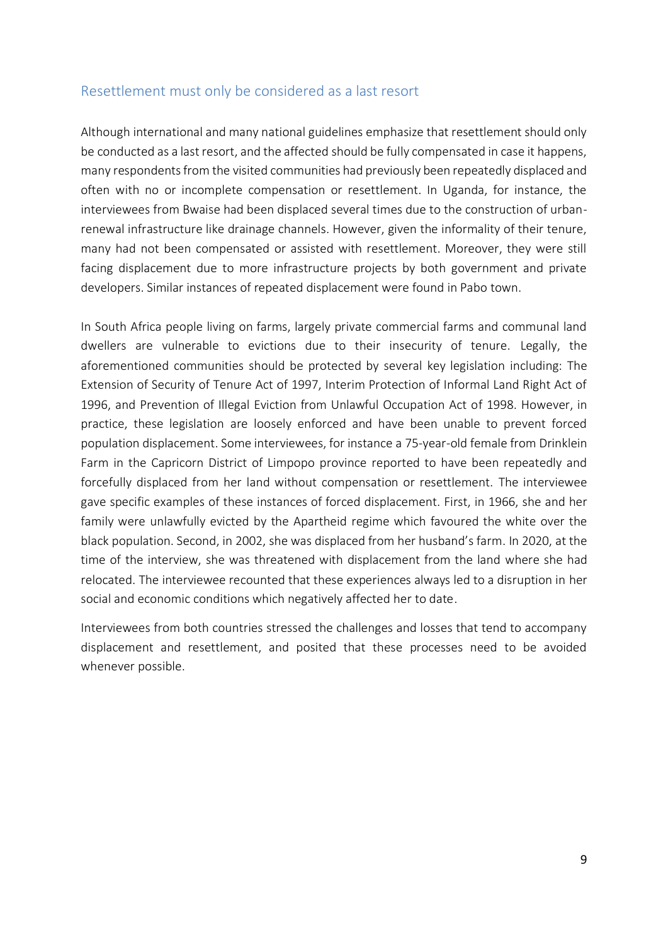## Resettlement must only be considered as a last resort

Although international and many national guidelines emphasize that resettlement should only be conducted as a last resort, and the affected should be fully compensated in case it happens, many respondents from the visited communities had previously been repeatedly displaced and often with no or incomplete compensation or resettlement. In Uganda, for instance, the interviewees from Bwaise had been displaced several times due to the construction of urbanrenewal infrastructure like drainage channels. However, given the informality of their tenure, many had not been compensated or assisted with resettlement. Moreover, they were still facing displacement due to more infrastructure projects by both government and private developers. Similar instances of repeated displacement were found in Pabo town.

In South Africa people living on farms, largely private commercial farms and communal land dwellers are vulnerable to evictions due to their insecurity of tenure. Legally, the aforementioned communities should be protected by several key legislation including: The Extension of Security of Tenure Act of 1997, Interim Protection of Informal Land Right Act of 1996, and Prevention of Illegal Eviction from Unlawful Occupation Act of 1998. However, in practice, these legislation are loosely enforced and have been unable to prevent forced population displacement. Some interviewees, for instance a 75-year-old female from Drinklein Farm in the Capricorn District of Limpopo province reported to have been repeatedly and forcefully displaced from her land without compensation or resettlement. The interviewee gave specific examples of these instances of forced displacement. First, in 1966, she and her family were unlawfully evicted by the Apartheid regime which favoured the white over the black population. Second, in 2002, she was displaced from her husband's farm. In 2020, at the time of the interview, she was threatened with displacement from the land where she had relocated. The interviewee recounted that these experiences always led to a disruption in her social and economic conditions which negatively affected her to date.

Interviewees from both countries stressed the challenges and losses that tend to accompany displacement and resettlement, and posited that these processes need to be avoided whenever possible.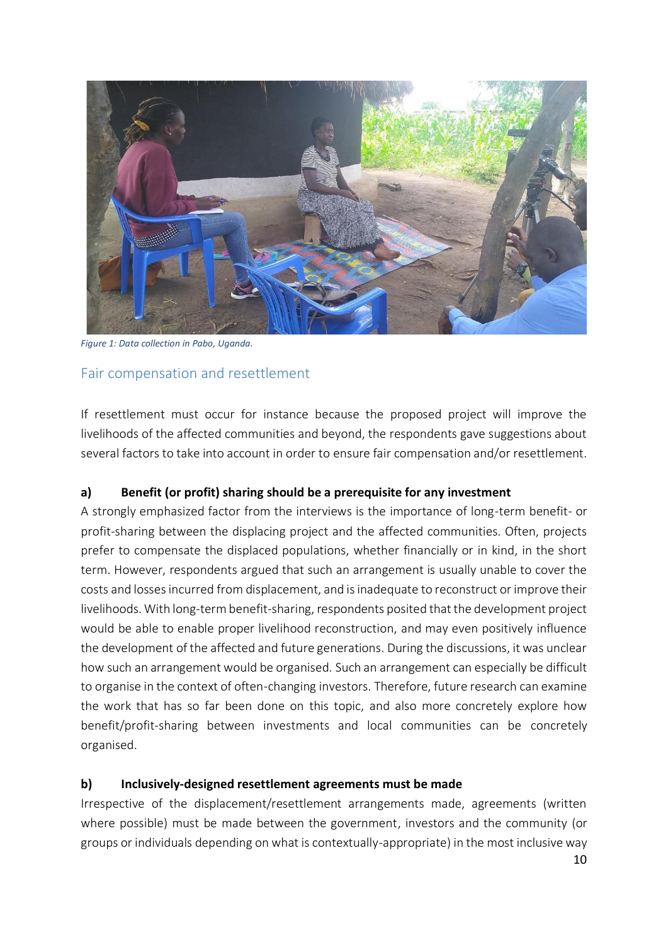

*Figure 1: Data collection in Pabo, Uganda.* 

## Fair compensation and resettlement

If resettlement must occur for instance because the proposed project will improve the livelihoods of the affected communities and beyond, the respondents gave suggestions about several factors to take into account in order to ensure fair compensation and/or resettlement.

## **a) Benefit (or profit) sharing should be a prerequisite for any investment**

A strongly emphasized factor from the interviews is the importance of long-term benefit- or profit-sharing between the displacing project and the affected communities. Often, projects prefer to compensate the displaced populations, whether financially or in kind, in the short term. However, respondents argued that such an arrangement is usually unable to cover the costs and losses incurred from displacement, and is inadequate to reconstruct or improve their livelihoods. With long-term benefit-sharing, respondents posited that the development project would be able to enable proper livelihood reconstruction, and may even positively influence the development of the affected and future generations. During the discussions, it was unclear how such an arrangement would be organised. Such an arrangement can especially be difficult to organise in the context of often-changing investors. Therefore, future research can examine the work that has so far been done on this topic, and also more concretely explore how benefit/profit-sharing between investments and local communities can be concretely organised.

#### **b) Inclusively-designed resettlement agreements must be made**

Irrespective of the displacement/resettlement arrangements made, agreements (written where possible) must be made between the government, investors and the community (or groups or individuals depending on what is contextually-appropriate) in the most inclusive way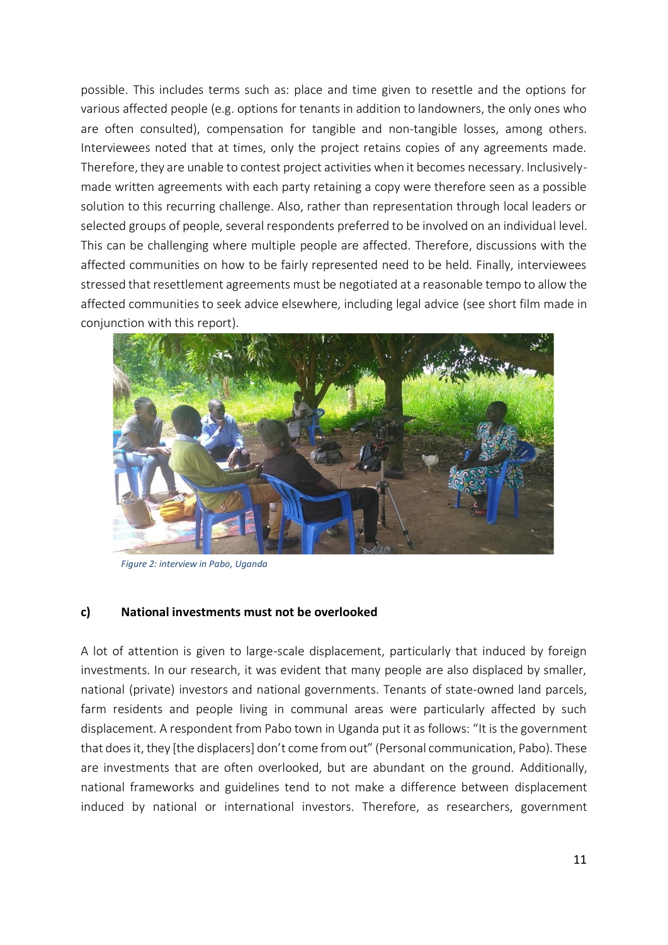possible. This includes terms such as: place and time given to resettle and the options for various affected people (e.g. options for tenants in addition to landowners, the only ones who are often consulted), compensation for tangible and non-tangible losses, among others. Interviewees noted that at times, only the project retains copies of any agreements made. Therefore, they are unable to contest project activities when it becomes necessary. Inclusivelymade written agreements with each party retaining a copy were therefore seen as a possible solution to this recurring challenge. Also, rather than representation through local leaders or selected groups of people, several respondents preferred to be involved on an individual level. This can be challenging where multiple people are affected. Therefore, discussions with the affected communities on how to be fairly represented need to be held. Finally, interviewees stressed that resettlement agreements must be negotiated at a reasonable tempo to allow the affected communities to seek advice elsewhere, including legal advice (see short film made in conjunction with this report).

![](_page_14_Picture_1.jpeg)

*Figure 2: interview in Pabo, Uganda*

#### **c) National investments must not be overlooked**

A lot of attention is given to large-scale displacement, particularly that induced by foreign investments. In our research, it was evident that many people are also displaced by smaller, national (private) investors and national governments. Tenants of state-owned land parcels, farm residents and people living in communal areas were particularly affected by such displacement. A respondent from Pabo town in Uganda put it as follows: "It is the government that does it, they [the displacers] don't come from out" (Personal communication, Pabo). These are investments that are often overlooked, but are abundant on the ground. Additionally, national frameworks and guidelines tend to not make a difference between displacement induced by national or international investors. Therefore, as researchers, government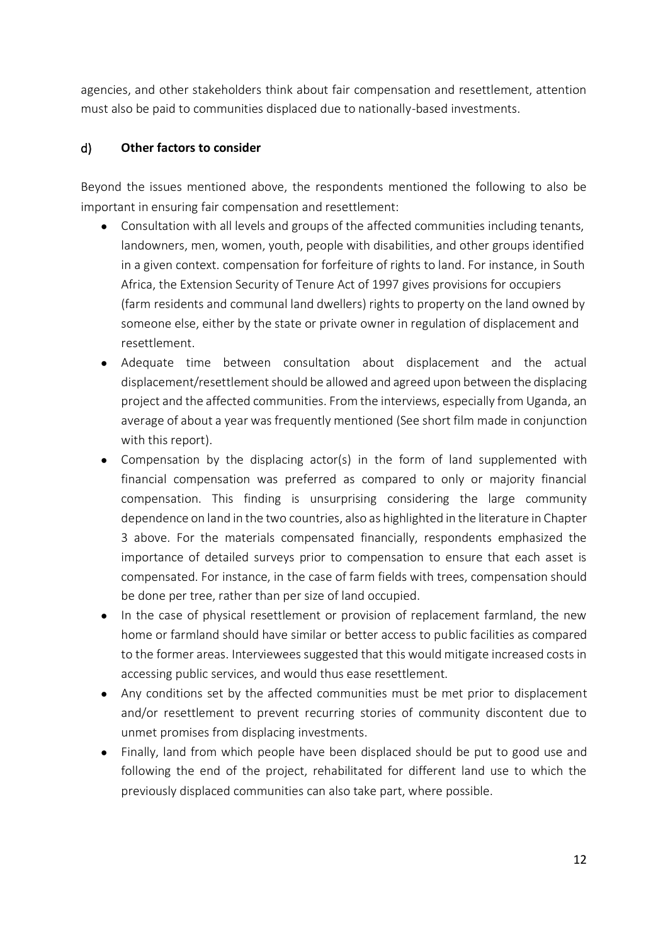agencies, and other stakeholders think about fair compensation and resettlement, attention must also be paid to communities displaced due to nationally-based investments.

## d) **Other factors to consider**

Beyond the issues mentioned above, the respondents mentioned the following to also be important in ensuring fair compensation and resettlement:

- Consultation with all levels and groups of the affected communities including tenants, landowners, men, women, youth, people with disabilities, and other groups identified in a given context. compensation for forfeiture of rights to land. For instance, in South Africa, the Extension Security of Tenure Act of 1997 gives provisions for occupiers (farm residents and communal land dwellers) rights to property on the land owned by someone else, either by the state or private owner in regulation of displacement and resettlement.
- Adequate time between consultation about displacement and the actual displacement/resettlement should be allowed and agreed upon between the displacing project and the affected communities. From the interviews, especially from Uganda, an average of about a year was frequently mentioned (See short film made in conjunction with this report).
- Compensation by the displacing actor(s) in the form of land supplemented with financial compensation was preferred as compared to only or majority financial compensation. This finding is unsurprising considering the large community dependence on land in the two countries, also as highlighted in the literature in Chapter 3 above. For the materials compensated financially, respondents emphasized the importance of detailed surveys prior to compensation to ensure that each asset is compensated. For instance, in the case of farm fields with trees, compensation should be done per tree, rather than per size of land occupied.
- In the case of physical resettlement or provision of replacement farmland, the new home or farmland should have similar or better access to public facilities as compared to the former areas. Interviewees suggested that this would mitigate increased costs in accessing public services, and would thus ease resettlement.
- Any conditions set by the affected communities must be met prior to displacement and/or resettlement to prevent recurring stories of community discontent due to unmet promises from displacing investments.
- Finally, land from which people have been displaced should be put to good use and following the end of the project, rehabilitated for different land use to which the previously displaced communities can also take part, where possible.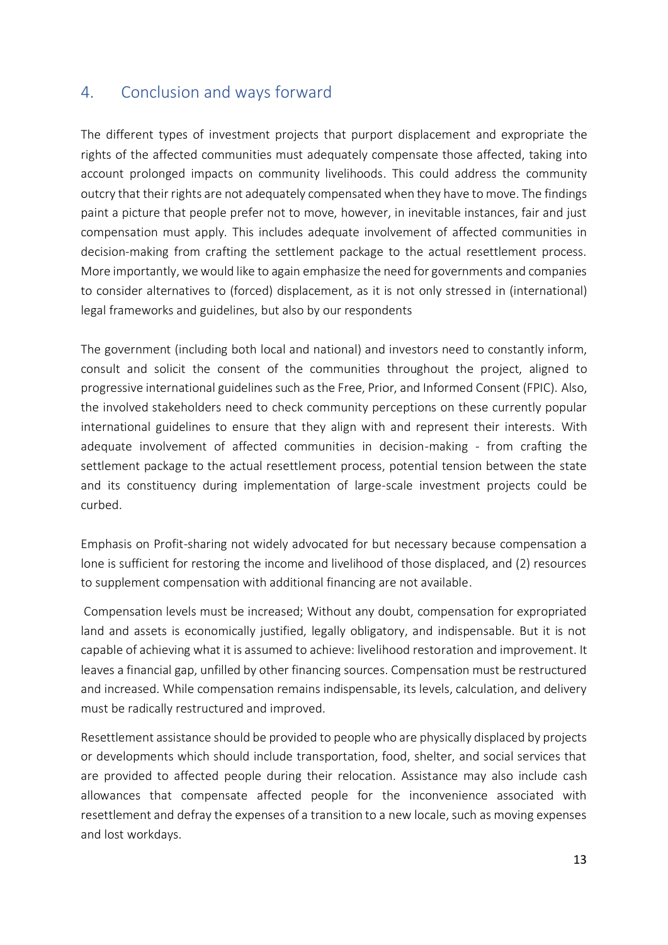# 4. Conclusion and ways forward

The different types of investment projects that purport displacement and expropriate the rights of the affected communities must adequately compensate those affected, taking into account prolonged impacts on community livelihoods. This could address the community outcry that their rights are not adequately compensated when they have to move. The findings paint a picture that people prefer not to move, however, in inevitable instances, fair and just compensation must apply. This includes adequate involvement of affected communities in decision-making from crafting the settlement package to the actual resettlement process. More importantly, we would like to again emphasize the need for governments and companies to consider alternatives to (forced) displacement, as it is not only stressed in (international) legal frameworks and guidelines, but also by our respondents

The government (including both local and national) and investors need to constantly inform, consult and solicit the consent of the communities throughout the project, aligned to progressive international guidelines such as the Free, Prior, and Informed Consent (FPIC). Also, the involved stakeholders need to check community perceptions on these currently popular international guidelines to ensure that they align with and represent their interests. With adequate involvement of affected communities in decision-making - from crafting the settlement package to the actual resettlement process, potential tension between the state and its constituency during implementation of large-scale investment projects could be curbed.

Emphasis on Profit-sharing not widely advocated for but necessary because compensation a lone is sufficient for restoring the income and livelihood of those displaced, and (2) resources to supplement compensation with additional financing are not available.

Compensation levels must be increased; Without any doubt, compensation for expropriated land and assets is economically justified, legally obligatory, and indispensable. But it is not capable of achieving what it is assumed to achieve: livelihood restoration and improvement. It leaves a financial gap, unfilled by other financing sources. Compensation must be restructured and increased. While compensation remains indispensable, its levels, calculation, and delivery must be radically restructured and improved.

Resettlement assistance should be provided to people who are physically displaced by projects or developments which should include transportation, food, shelter, and social services that are provided to affected people during their relocation. Assistance may also include cash allowances that compensate affected people for the inconvenience associated with resettlement and defray the expenses of a transition to a new locale, such as moving expenses and lost workdays.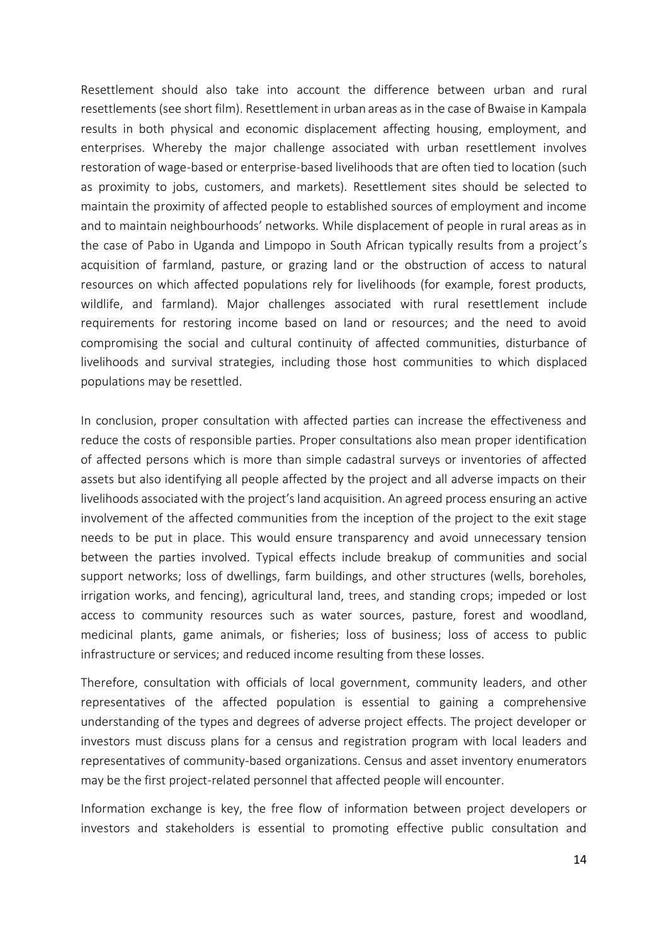Resettlement should also take into account the difference between urban and rural resettlements (see short film). Resettlement in urban areas as in the case of Bwaise in Kampala results in both physical and economic displacement affecting housing, employment, and enterprises. Whereby the major challenge associated with urban resettlement involves restoration of wage-based or enterprise-based livelihoods that are often tied to location (such as proximity to jobs, customers, and markets). Resettlement sites should be selected to maintain the proximity of affected people to established sources of employment and income and to maintain neighbourhoods' networks. While displacement of people in rural areas as in the case of Pabo in Uganda and Limpopo in South African typically results from a project's acquisition of farmland, pasture, or grazing land or the obstruction of access to natural resources on which affected populations rely for livelihoods (for example, forest products, wildlife, and farmland). Major challenges associated with rural resettlement include requirements for restoring income based on land or resources; and the need to avoid compromising the social and cultural continuity of affected communities, disturbance of livelihoods and survival strategies, including those host communities to which displaced populations may be resettled.

In conclusion, proper consultation with affected parties can increase the effectiveness and reduce the costs of responsible parties. Proper consultations also mean proper identification of affected persons which is more than simple cadastral surveys or inventories of affected assets but also identifying all people affected by the project and all adverse impacts on their livelihoods associated with the project's land acquisition. An agreed process ensuring an active involvement of the affected communities from the inception of the project to the exit stage needs to be put in place. This would ensure transparency and avoid unnecessary tension between the parties involved. Typical effects include breakup of communities and social support networks; loss of dwellings, farm buildings, and other structures (wells, boreholes, irrigation works, and fencing), agricultural land, trees, and standing crops; impeded or lost access to community resources such as water sources, pasture, forest and woodland, medicinal plants, game animals, or fisheries; loss of business; loss of access to public infrastructure or services; and reduced income resulting from these losses.

Therefore, consultation with officials of local government, community leaders, and other representatives of the affected population is essential to gaining a comprehensive understanding of the types and degrees of adverse project effects. The project developer or investors must discuss plans for a census and registration program with local leaders and representatives of community-based organizations. Census and asset inventory enumerators may be the first project-related personnel that affected people will encounter.

Information exchange is key, the free flow of information between project developers or investors and stakeholders is essential to promoting effective public consultation and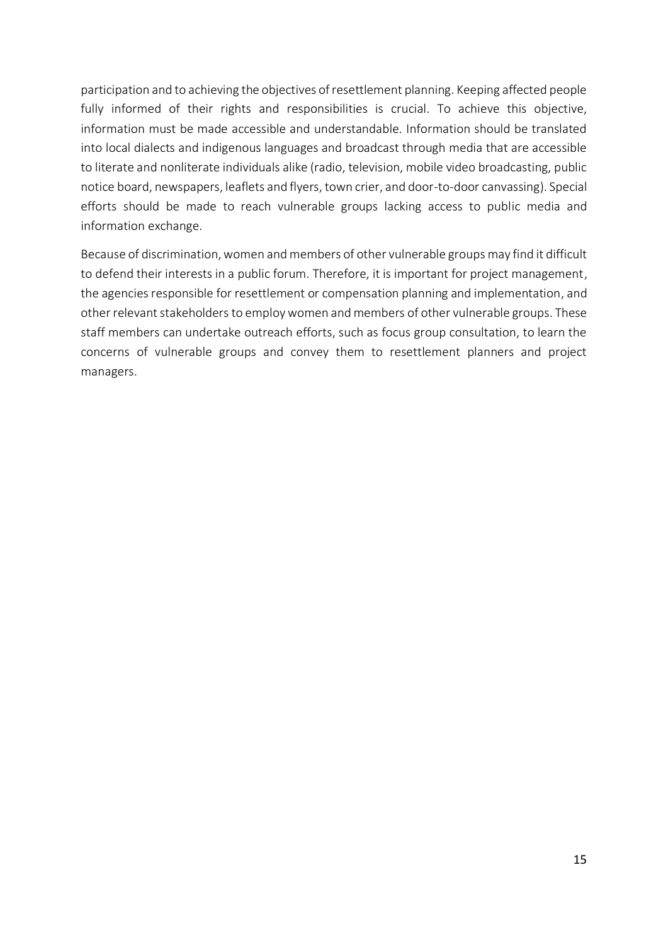participation and to achieving the objectives of resettlement planning. Keeping affected people fully informed of their rights and responsibilities is crucial. To achieve this objective, information must be made accessible and understandable. Information should be translated into local dialects and indigenous languages and broadcast through media that are accessible to literate and nonliterate individuals alike (radio, television, mobile video broadcasting, public notice board, newspapers, leaflets and flyers, town crier, and door-to-door canvassing). Special efforts should be made to reach vulnerable groups lacking access to public media and information exchange.

Because of discrimination, women and members of other vulnerable groups may find it difficult to defend their interests in a public forum. Therefore, it is important for project management, the agencies responsible for resettlement or compensation planning and implementation, and other relevant stakeholders to employ women and members of other vulnerable groups. These staff members can undertake outreach efforts, such as focus group consultation, to learn the concerns of vulnerable groups and convey them to resettlement planners and project managers.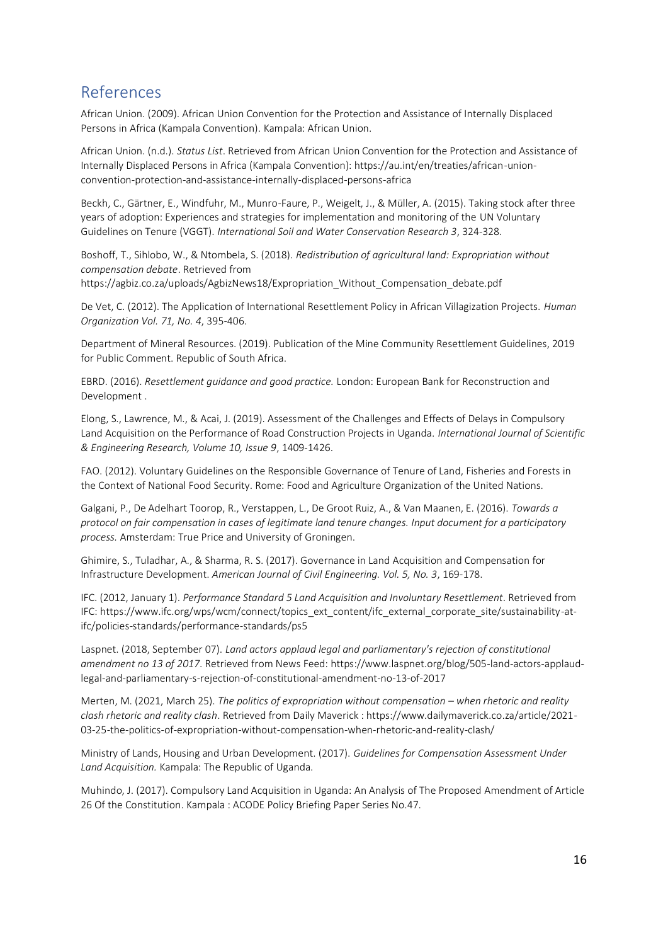# References

African Union. (2009). African Union Convention for the Protection and Assistance of Internally Displaced Persons in Africa (Kampala Convention). Kampala: African Union.

African Union. (n.d.). *Status List*. Retrieved from African Union Convention for the Protection and Assistance of Internally Displaced Persons in Africa (Kampala Convention): https://au.int/en/treaties/african-unionconvention-protection-and-assistance-internally-displaced-persons-africa

Beckh, C., Gärtner, E., Windfuhr, M., Munro-Faure, P., Weigelt, J., & Müller, A. (2015). Taking stock after three years of adoption: Experiences and strategies for implementation and monitoring of the UN Voluntary Guidelines on Tenure (VGGT). *International Soil and Water Conservation Research 3*, 324-328.

Boshoff, T., Sihlobo, W., & Ntombela, S. (2018). *Redistribution of agricultural land: Expropriation without compensation debate*. Retrieved from

https://agbiz.co.za/uploads/AgbizNews18/Expropriation\_Without\_Compensation\_debate.pdf

De Vet, C. (2012). The Application of International Resettlement Policy in African Villagization Projects. *Human Organization Vol. 71, No. 4*, 395-406.

Department of Mineral Resources. (2019). Publication of the Mine Community Resettlement Guidelines, 2019 for Public Comment. Republic of South Africa.

EBRD. (2016). *Resettlement guidance and good practice.* London: European Bank for Reconstruction and Development .

Elong, S., Lawrence, M., & Acai, J. (2019). Assessment of the Challenges and Effects of Delays in Compulsory Land Acquisition on the Performance of Road Construction Projects in Uganda. *International Journal of Scientific & Engineering Research, Volume 10, Issue 9*, 1409-1426.

FAO. (2012). Voluntary Guidelines on the Responsible Governance of Tenure of Land, Fisheries and Forests in the Context of National Food Security. Rome: Food and Agriculture Organization of the United Nations.

Galgani, P., De Adelhart Toorop, R., Verstappen, L., De Groot Ruiz, A., & Van Maanen, E. (2016). *Towards a protocol on fair compensation in cases of legitimate land tenure changes. Input document for a participatory process.* Amsterdam: True Price and University of Groningen.

Ghimire, S., Tuladhar, A., & Sharma, R. S. (2017). Governance in Land Acquisition and Compensation for Infrastructure Development. *American Journal of Civil Engineering. Vol. 5, No. 3*, 169-178.

IFC. (2012, January 1). *Performance Standard 5 Land Acquisition and Involuntary Resettlement*. Retrieved from IFC: https://www.ifc.org/wps/wcm/connect/topics\_ext\_content/ifc\_external\_corporate\_site/sustainability-atifc/policies-standards/performance-standards/ps5

Laspnet. (2018, September 07). *Land actors applaud legal and parliamentary's rejection of constitutional amendment no 13 of 2017*. Retrieved from News Feed: https://www.laspnet.org/blog/505-land-actors-applaudlegal-and-parliamentary-s-rejection-of-constitutional-amendment-no-13-of-2017

Merten, M. (2021, March 25). *The politics of expropriation without compensation – when rhetoric and reality clash rhetoric and reality clash*. Retrieved from Daily Maverick : https://www.dailymaverick.co.za/article/2021- 03-25-the-politics-of-expropriation-without-compensation-when-rhetoric-and-reality-clash/

Ministry of Lands, Housing and Urban Development. (2017). *Guidelines for Compensation Assessment Under Land Acquisition.* Kampala: The Republic of Uganda.

Muhindo, J. (2017). Compulsory Land Acquisition in Uganda: An Analysis of The Proposed Amendment of Article 26 Of the Constitution. Kampala : ACODE Policy Briefing Paper Series No.47.